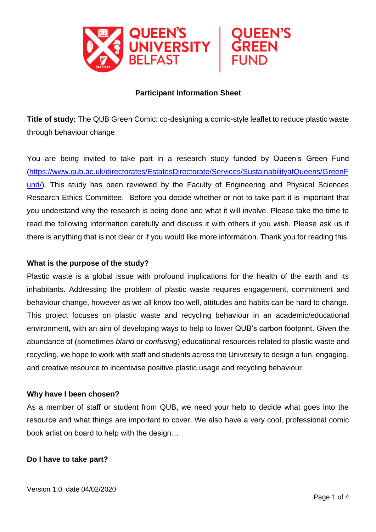

#### **Participant Information Sheet**

**Title of study:** The QUB Green Comic: co-designing a comic-style leaflet to reduce plastic waste through behaviour change

You are being invited to take part in a research study funded by Queen's Green Fund [\(https://www.qub.ac.uk/directorates/EstatesDirectorate/Services/SustainabilityatQueens/GreenF](https://www.qub.ac.uk/directorates/EstatesDirectorate/Services/SustainabilityatQueens/GreenFund/) [und/\)](https://www.qub.ac.uk/directorates/EstatesDirectorate/Services/SustainabilityatQueens/GreenFund/). This study has been reviewed by the Faculty of Engineering and Physical Sciences Research Ethics Committee. Before you decide whether or not to take part it is important that you understand why the research is being done and what it will involve. Please take the time to read the following information carefully and discuss it with others if you wish. Please ask us if there is anything that is not clear or if you would like more information. Thank you for reading this.

#### **What is the purpose of the study?**

Plastic waste is a global issue with profound implications for the health of the earth and its inhabitants. Addressing the problem of plastic waste requires engagement, commitment and behaviour change, however as we all know too well, attitudes and habits can be hard to change. This project focuses on plastic waste and recycling behaviour in an academic/educational environment, with an aim of developing ways to help to lower QUB's carbon footprint. Given the abundance of (sometimes *bland* or *confusing*) educational resources related to plastic waste and recycling, we hope to work with staff and students across the University to design a fun, engaging, and creative resource to incentivise positive plastic usage and recycling behaviour.

#### **Why have I been chosen?**

As a member of staff or student from QUB, we need your help to decide what goes into the resource and what things are important to cover. We also have a very cool, professional comic book artist on board to help with the design…

#### **Do I have to take part?**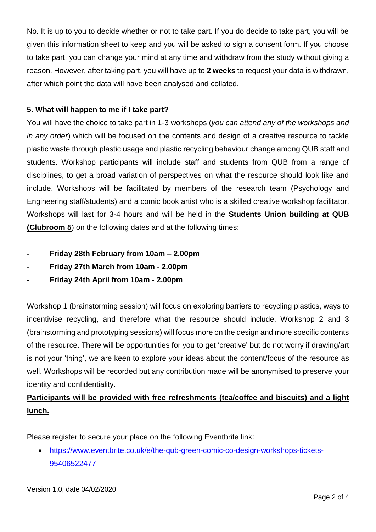No. It is up to you to decide whether or not to take part. If you do decide to take part, you will be given this information sheet to keep and you will be asked to sign a consent form. If you choose to take part, you can change your mind at any time and withdraw from the study without giving a reason. However, after taking part, you will have up to **2 weeks** to request your data is withdrawn, after which point the data will have been analysed and collated.

## **5. What will happen to me if I take part?**

You will have the choice to take part in 1-3 workshops (*you can attend any of the workshops and in any order*) which will be focused on the contents and design of a creative resource to tackle plastic waste through plastic usage and plastic recycling behaviour change among QUB staff and students. Workshop participants will include staff and students from QUB from a range of disciplines, to get a broad variation of perspectives on what the resource should look like and include. Workshops will be facilitated by members of the research team (Psychology and Engineering staff/students) and a comic book artist who is a skilled creative workshop facilitator. Workshops will last for 3-4 hours and will be held in the **Students Union building at QUB (Clubroom 5**) on the following dates and at the following times:

- **- Friday 28th February from 10am – 2.00pm**
- **- Friday 27th March from 10am - 2.00pm**
- **- Friday 24th April from 10am - 2.00pm**

Workshop 1 (brainstorming session) will focus on exploring barriers to recycling plastics, ways to incentivise recycling, and therefore what the resource should include. Workshop 2 and 3 (brainstorming and prototyping sessions) will focus more on the design and more specific contents of the resource. There will be opportunities for you to get 'creative' but do not worry if drawing/art is not your 'thing', we are keen to explore your ideas about the content/focus of the resource as well. Workshops will be recorded but any contribution made will be anonymised to preserve your identity and confidentiality.

# **Participants will be provided with free refreshments (tea/coffee and biscuits) and a light lunch.**

Please register to secure your place on the following Eventbrite link:

 [https://www.eventbrite.co.uk/e/the-qub-green-comic-co-design-workshops-tickets-](https://www.eventbrite.co.uk/e/the-qub-green-comic-co-design-workshops-tickets-95406522477)[95406522477](https://www.eventbrite.co.uk/e/the-qub-green-comic-co-design-workshops-tickets-95406522477)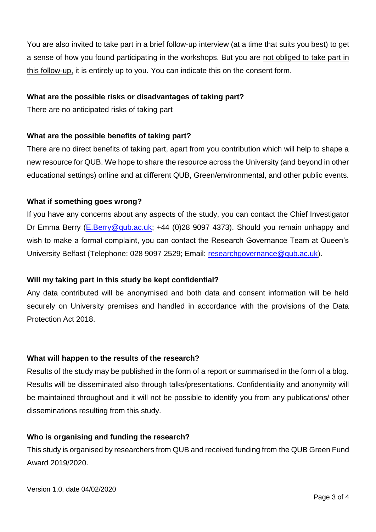You are also invited to take part in a brief follow-up interview (at a time that suits you best) to get a sense of how you found participating in the workshops. But you are not obliged to take part in this follow-up, it is entirely up to you. You can indicate this on the consent form.

#### **What are the possible risks or disadvantages of taking part?**

There are no anticipated risks of taking part

## **What are the possible benefits of taking part?**

There are no direct benefits of taking part, apart from you contribution which will help to shape a new resource for QUB. We hope to share the resource across the University (and beyond in other educational settings) online and at different QUB, Green/environmental, and other public events.

## **What if something goes wrong?**

If you have any concerns about any aspects of the study, you can contact the Chief Investigator Dr Emma Berry [\(E.Berry@qub.ac.uk;](mailto:E.Berry@qub.ac.uk) +44 (0)28 9097 4373). Should you remain unhappy and wish to make a formal complaint, you can contact the Research Governance Team at Queen's University Belfast (Telephone: 028 9097 2529; Email: [researchgovernance@qub.ac.uk\)](mailto:researchgovernance@qub.ac.uk).

## **Will my taking part in this study be kept confidential?**

Any data contributed will be anonymised and both data and consent information will be held securely on University premises and handled in accordance with the provisions of the Data Protection Act 2018.

## **What will happen to the results of the research?**

Results of the study may be published in the form of a report or summarised in the form of a blog. Results will be disseminated also through talks/presentations. Confidentiality and anonymity will be maintained throughout and it will not be possible to identify you from any publications/ other disseminations resulting from this study.

## **Who is organising and funding the research?**

This study is organised by researchers from QUB and received funding from the QUB Green Fund Award 2019/2020.